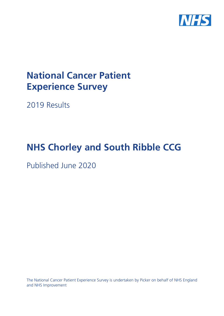

# **National Cancer Patient Experience Survey**

2019 Results

# **NHS Chorley and South Ribble CCG**

Published June 2020

The National Cancer Patient Experience Survey is undertaken by Picker on behalf of NHS England and NHS Improvement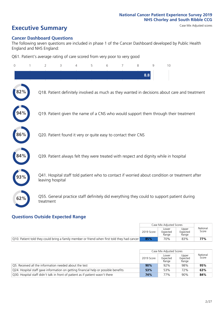# **Executive Summary** Case Mix Adjusted scores

#### **Cancer Dashboard Questions**

The following seven questions are included in phase 1 of the Cancer Dashboard developed by Public Health England and NHS England:

Q61. Patient's average rating of care scored from very poor to very good

| $\Omega$ | $\overline{2}$                                                | 3 | 5 | 6 | 7 | 8 | 9   | 10                                                                                            |
|----------|---------------------------------------------------------------|---|---|---|---|---|-----|-----------------------------------------------------------------------------------------------|
|          |                                                               |   |   |   |   |   | 8.8 |                                                                                               |
| 2%       |                                                               |   |   |   |   |   |     | Q18. Patient definitely involved as much as they wanted in decisions about care and treatment |
|          |                                                               |   |   |   |   |   |     | Q19. Patient given the name of a CNS who would support them through their treatment           |
| 86%      | Q20. Patient found it very or quite easy to contact their CNS |   |   |   |   |   |     |                                                                                               |
|          |                                                               |   |   |   |   |   |     | Q39. Patient always felt they were treated with respect and dignity while in hospital         |
|          | leaving hospital                                              |   |   |   |   |   |     | Q41. Hospital staff told patient who to contact if worried about condition or treatment after |
| 62%      | treatment                                                     |   |   |   |   |   |     | Q55. General practice staff definitely did everything they could to support patient during    |

### **Questions Outside Expected Range**

|                                                                                              |            | Case Mix Adjusted Scores   |                            |                   |
|----------------------------------------------------------------------------------------------|------------|----------------------------|----------------------------|-------------------|
|                                                                                              | 2019 Score | Lower<br>Expected<br>Range | Upper<br>Expected<br>Range | National<br>Score |
| Q10. Patient told they could bring a family member or friend when first told they had cancer | 85%        | 70%                        | 83%                        | 77%               |

|                                                                                     |            | Case Mix Adjusted Scores |                            |                   |
|-------------------------------------------------------------------------------------|------------|--------------------------|----------------------------|-------------------|
|                                                                                     | 2019 Score |                          | Upper<br>Expected<br>Range | National<br>Score |
| O5. Received all the information needed about the test                              | 90%        | 92%                      | 98%                        | 95%               |
| Q24. Hospital staff gave information on getting financial help or possible benefits | 53%        | 53%                      | 72%                        | 63%               |
| Q30. Hospital staff didn't talk in front of patient as if patient wasn't there      | 74%        | 77%                      | 90%                        | 84%               |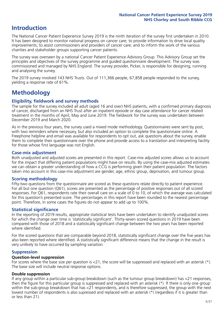## **Introduction**

The National Cancer Patient Experience Survey 2019 is the ninth iteration of the survey first undertaken in 2010. It has been designed to monitor national progress on cancer care; to provide information to drive local quality improvements; to assist commissioners and providers of cancer care; and to inform the work of the various charities and stakeholder groups supporting cancer patients.

The survey was overseen by a national Cancer Patient Experience Advisory Group. This Advisory Group set the principles and objectives of the survey programme and guided questionnaire development. The survey was commissioned and managed by NHS England. The survey provider, Picker, is responsible for designing, running and analysing the survey.

The 2019 survey involved 143 NHS Trusts. Out of 111,366 people, 67,858 people responded to the survey, yielding a response rate of 61%.

# **Methodology**

#### **Eligibility, eldwork and survey methods**

The sample for the survey included all adult (aged 16 and over) NHS patients, with a confirmed primary diagnosis of cancer, discharged from an NHS Trust after an inpatient episode or day case attendance for cancer related treatment in the months of April, May and June 2019. The fieldwork for the survey was undertaken between December 2019 and March 2020.

As in the previous four years, the survey used a mixed mode methodology. Questionnaires were sent by post, with two reminders where necessary, but also included an option to complete the questionnaire online. A Freephone helpline and email was available for respondents to opt out, ask questions about the survey, enable them to complete their questionnaire over the phone and provide access to a translation and interpreting facility for those whose first language was not English.

#### **Case-mix adjustment**

Both unadjusted and adjusted scores are presented in this report. Case-mix adjusted scores allows us to account for the impact that differing patient populations might have on results. By using the case-mix adjusted estimates we can obtain a greater understanding of how a CCG is performing given their patient population. The factors taken into account in this case-mix adjustment are gender, age, ethnic group, deprivation, and tumour group.

#### **Scoring methodology**

Fifty-two questions from the questionnaire are scored as these questions relate directly to patient experience. For all but one question (Q61), scores are presented as the percentage of positive responses out of all scored responses. For Q61, respondents rate their overall care on a scale of 0 to 10, of which the average was calculated for this question's presented score. The percentages in this report have been rounded to the nearest percentage point. Therefore, in some cases the figures do not appear to add up to 100%.

#### **Statistical significance**

In the reporting of 2019 results, appropriate statistical tests have been undertaken to identify unadjusted scores for which the change over time is 'statistically significant'. Thirty-seven scored questions in 2019 have been compared with those of 2018 and a statistically significant change between the two years has been reported where identified.

For the scored questions that are comparable beyond 2018, statistically significant change over the five years has also been reported where identified. A statistically significant difference means that the change in the result is very unlikely to have occurred by sampling variation.

#### **Suppression**

#### **Question-level suppression**

For scores where the base size per question is  $<$ 21, the score will be suppressed and replaced with an asterisk (\*). The base size will include neutral response options.

#### **Double suppression**

If any group within a particular sub-group breakdown (such as the tumour group breakdown) has <21 responses, then the figure for this particular group is suppressed and replaced with an asterisk (\*). If there is only one group within the sub-group breakdown that has <21 respondents, and is therefore suppressed, the group with the next lowest number of respondents is also supressed and replaced with an asterisk (\*) (regardless if it is greater than or less than 21).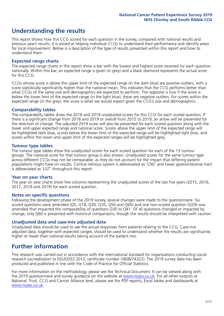# **Understanding the results**

This report shows how this CCG scored for each question in the survey, compared with national results and previous year's results. It is aimed at helping individual CCGs to understand their performance and identify areas for local improvement. Below is a description of the type of results presented within this report and how to understand them.

#### **Expected range charts**

The expected range charts in this report show a bar with the lowest and highest score received for each question nationally. Within this bar, an expected range is given (in grey) and a black diamond represents the actual score for this CCG.

CCGs whose score is above the upper limit of the expected range (in the dark blue) are positive outliers, with a score statistically significantly higher than the national mean. This indicates that the CCG performs better than what CCGs of the same size and demographics are expected to perform. The opposite is true if the score is below the lower limit of the expected range (in the light blue); these are negative outliers. For scores within the expected range (in the grey), the score is what we would expect given the CCG's size and demographics.

#### **Comparability tables**

The comparability tables show the 2018 and 2019 unadjusted scores for this CCG for each scored question. If there is a significant change from 2018 and 2019 or overall from 2015 to 2019, an arrow will be presented for the direction of change. The adjusted 2019 score will also be presented for each scored question along with the lower and upper expected range and national score. Scores above the upper limit of the expected range will be highlighted dark blue, scores below the lower limit of the expected range will be highlighted light blue, and scores within the lower and upper limit of the expected ranges will be highlighted grey.

#### **Tumour type tables**

The tumour type tables show the unadjusted scores for each scored question for each of the 13 tumour groups. The national score for that tumour group is also shown. Unadjusted scores for the same tumour type across different CCGs may not be comparable, as they do not account for the impact that differing patient populations might have on results. Central nervous system is abbreviated as 'CNS' and lower gastrointestinal tract is abbreviated as 'LGT' throughout this report.

#### **Year on year charts**

The year on year charts show five columns representing the unadjusted scores of the last five years (2015, 2016, 2017, 2018 and 2019) for each scored question.

#### **Notes on specific questions**

Following the development phase of the 2019 survey, several changes were made to the questionnaire. Six scored questions were amended (Q5, Q18, Q30, Q35, Q56 and Q60) and one non-scored question (Q29) was amended that impacted the comparability of questions Q30 to Q41. Of all questions changed or impacted by change, only Q60 is presented with historical comparisons; though the results should be interpreted with caution.

#### **Unadjusted data and case-mix adjusted data**

Unadjusted data should be used to see the actual responses from patients relating to the CCG. Case-mix adjusted data, together with expected ranges, should be used to understand whether the results are significantly higher or lower than national results taking account of the patient mix.

### **Further information**

This research was carried out in accordance with the international standard for organisations conducting social research (accreditation to ISO20252:2012; certificate number GB08/74322). The 2019 survey data has been produced and published in line with the Code of Practice for Official Statistics.

For more information on the methodology, please see the Technical Document. It can be viewed along with the 2019 questionnaire and survey quidance on the website at [www.ncpes.co.uk](https://www.ncpes.co.uk/supporting-documents). For all other outputs at National, Trust, CCG and Cancer Alliance level, please see the PDF reports, Excel tables and dashboards at [www.ncpes.co.uk.](https://www.ncpes.co.uk/current-results)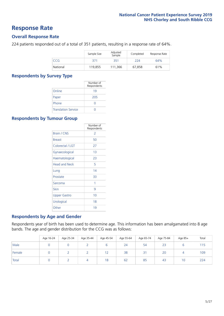### **Response Rate**

#### **Overall Response Rate**

224 patients responded out of a total of 351 patients, resulting in a response rate of 64%.

|            | Sample Size | Adjusted<br>Sample | Completed | Response Rate |
|------------|-------------|--------------------|-----------|---------------|
| <b>CCG</b> | 371         | 351                | 224       | 64%           |
| National   | 119,855     | 111.366            | 67.858    | 61%           |

#### **Respondents by Survey Type**

|                            | Number of<br>Respondents |
|----------------------------|--------------------------|
| Online                     | 19                       |
| Paper                      | 205                      |
| Phone                      |                          |
| <b>Translation Service</b> |                          |

#### **Respondents by Tumour Group**

|                      | Number of<br>Respondents |
|----------------------|--------------------------|
| <b>Brain / CNS</b>   | 2                        |
| <b>Breast</b>        | 50                       |
| Colorectal / LGT     | 27                       |
| Gynaecological       | 1 <sub>3</sub>           |
| Haematological       | 23                       |
| <b>Head and Neck</b> | 5                        |
| Lung                 | 14                       |
| Prostate             | 33                       |
| Sarcoma              | 1                        |
| Skin                 | 9                        |
| Upper Gastro         | 10                       |
| Urological           | 18                       |
| Other                | 19                       |

#### **Respondents by Age and Gender**

Respondents year of birth has been used to determine age. This information has been amalgamated into 8 age bands. The age and gender distribution for the CCG was as follows:

|        | Age 16-24 | Age 25-34 | Age 35-44 | Age 45-54  | Age 55-64 | Age 65-74 | Age 75-84 | Age 85+ | Total |
|--------|-----------|-----------|-----------|------------|-----------|-----------|-----------|---------|-------|
| Male   |           |           |           |            | 24        | 54        | 23        |         | 115   |
| Female |           |           |           | 1 ว<br>1 Z | 38        | 31        | 20        |         | 109   |
| Total  |           |           | 4         | 18         | 62        | 85        | 43        | 10      | 224   |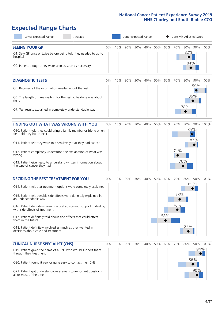# **Expected Range Charts**

| Lower Expected Range<br>Average                                                                                                                                                                                                                                                                                                                                                                                                                                                                                             |       |     |     | Upper Expected Range |     |     | Case Mix Adjusted Score |                   |                                                   |                                |          |  |
|-----------------------------------------------------------------------------------------------------------------------------------------------------------------------------------------------------------------------------------------------------------------------------------------------------------------------------------------------------------------------------------------------------------------------------------------------------------------------------------------------------------------------------|-------|-----|-----|----------------------|-----|-----|-------------------------|-------------------|---------------------------------------------------|--------------------------------|----------|--|
| <b>SEEING YOUR GP</b><br>Q1. Saw GP once or twice before being told they needed to go to<br>hospital<br>Q2. Patient thought they were seen as soon as necessary                                                                                                                                                                                                                                                                                                                                                             | 0%    | 10% | 20% | 30%                  | 40% | 50% | 60%                     | 70%               | 80% 90% 100%<br>82%<br>84%                        |                                |          |  |
| <b>DIAGNOSTIC TESTS</b><br>Q5. Received all the information needed about the test<br>Q6. The length of time waiting for the test to be done was about<br>right<br>Q7. Test results explained in completely understandable way                                                                                                                                                                                                                                                                                               | 0%    | 10% | 20% | 30%                  | 40% | 50% | 60%                     | 70%               | 80%<br>86%<br>78%                                 | 90%<br>90%                     | 100%     |  |
| <b>FINDING OUT WHAT WAS WRONG WITH YOU</b><br>Q10. Patient told they could bring a family member or friend when<br>first told they had cancer<br>Q11. Patient felt they were told sensitively that they had cancer<br>Q12. Patient completely understood the explanation of what was<br>wrong<br>Q13. Patient given easy to understand written information about<br>the type of cancer they had                                                                                                                             | 0%    | 10% | 20% | 30%                  | 40% | 50% | 60%                     | 70%<br>71%        | 80%<br>85%<br>$\color{black}\blacklozenge$<br>76% | 87%                            | 90% 100% |  |
| <b>DECIDING THE BEST TREATMENT FOR YOU</b><br>Q14. Patient felt that treatment options were completely explained<br>Q15. Patient felt possible side effects were definitely explained in<br>an understandable way<br>Q16. Patient definitely given practical advice and support in dealing<br>with side effects of treatment<br>Q17. Patient definitely told about side effects that could affect<br>them in the future<br>Q18. Patient definitely involved as much as they wanted in<br>decisions about care and treatment | 0%    | 10% | 20% | 30%                  | 40% | 50% | 60%<br>58%              | 70%<br>73%<br>70% | 80%<br>85%<br>82%                                 | 90%                            | 100%     |  |
| <b>CLINICAL NURSE SPECIALIST (CNS)</b><br>Q19. Patient given the name of a CNS who would support them<br>through their treatment<br>Q20. Patient found it very or quite easy to contact their CNS<br>Q21. Patient got understandable answers to important questions<br>all or most of the time                                                                                                                                                                                                                              | $0\%$ | 10% | 20% | 30%                  | 40% | 50% | 60%                     | 70%               | 80%                                               | 94%<br>$\bullet$<br>86%<br>90% | 90% 100% |  |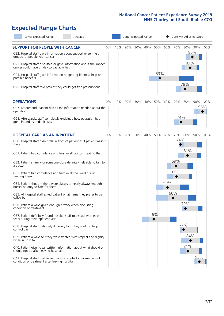# **Expected Range Charts**

| Lower Expected Range<br>Average                                                                                                                                                                                                                                                                                                                                                                                               |    |     |     |     | Upper Expected Range |            |     |         | Case Mix Adjusted Score  |     |          |
|-------------------------------------------------------------------------------------------------------------------------------------------------------------------------------------------------------------------------------------------------------------------------------------------------------------------------------------------------------------------------------------------------------------------------------|----|-----|-----|-----|----------------------|------------|-----|---------|--------------------------|-----|----------|
| <b>SUPPORT FOR PEOPLE WITH CANCER</b><br>Q22. Hospital staff gave information about support or self-help<br>groups for people with cancer<br>Q23. Hospital staff discussed or gave information about the impact<br>cancer could have on day to day activities<br>Q24. Hospital staff gave information on getting financial help or<br>possible benefits<br>Q25. Hospital staff told patient they could get free prescriptions | 0% | 10% | 20% | 30% | 40%                  | 50%<br>53% | 60% | 70%     | 80%<br>86%<br>83%<br>78% |     | 90% 100% |
| <b>OPERATIONS</b>                                                                                                                                                                                                                                                                                                                                                                                                             | 0% | 10% | 20% | 30% | 40%                  | 50%        | 60% | 70%     | 80%                      |     | 90% 100% |
| Q27. Beforehand, patient had all the information needed about the<br>operation                                                                                                                                                                                                                                                                                                                                                |    |     |     |     |                      |            |     |         |                          |     | 96%      |
| Q28. Afterwards, staff completely explained how operation had<br>gone in understandable way                                                                                                                                                                                                                                                                                                                                   |    |     |     |     |                      |            |     | 74%     |                          |     |          |
| <b>HOSPITAL CARE AS AN INPATIENT</b>                                                                                                                                                                                                                                                                                                                                                                                          | 0% | 10% | 20% | 30% | 40%                  | 50%        | 60% | 70% 80% |                          |     | 90% 100% |
| Q30. Hospital staff didn't talk in front of patient as if patient wasn't<br>there                                                                                                                                                                                                                                                                                                                                             |    |     |     |     |                      |            |     | 74%     | 81%                      |     |          |
| Q31. Patient had confidence and trust in all doctors treating them                                                                                                                                                                                                                                                                                                                                                            |    |     |     |     |                      |            |     |         |                          |     |          |
| Q32. Patient's family or someone close definitely felt able to talk to<br>a doctor                                                                                                                                                                                                                                                                                                                                            |    |     |     |     |                      |            |     | 69%     |                          |     |          |
| Q33. Patient had confidence and trust in all the ward nurses<br>treating them                                                                                                                                                                                                                                                                                                                                                 |    |     |     |     |                      |            |     | 69%     |                          |     |          |
| Q34. Patient thought there were always or nearly always enough<br>nurses on duty to care for them                                                                                                                                                                                                                                                                                                                             |    |     |     |     |                      |            | 60% |         |                          |     |          |
| Q35. All hospital staff asked patient what name they prefer to be<br>called by                                                                                                                                                                                                                                                                                                                                                |    |     |     |     |                      |            |     | 66%     |                          |     |          |
| Q36. Patient always given enough privacy when discussing<br>condition or treatment                                                                                                                                                                                                                                                                                                                                            |    |     |     |     |                      |            |     |         | 79%                      |     |          |
| Q37. Patient definitely found hospital staff to discuss worries or<br>fears during their inpatient visit                                                                                                                                                                                                                                                                                                                      |    |     |     |     |                      | 46%        |     |         |                          |     |          |
| Q38. Hospital staff definitely did everything they could to help<br>control pain                                                                                                                                                                                                                                                                                                                                              |    |     |     |     |                      |            |     |         | 77%                      |     |          |
| Q39. Patient always felt they were treated with respect and dignity<br>while in hospital                                                                                                                                                                                                                                                                                                                                      |    |     |     |     |                      |            |     |         | 84%                      |     |          |
| Q40. Patient given clear written information about what should or<br>should not do after leaving hospital                                                                                                                                                                                                                                                                                                                     |    |     |     |     |                      |            |     |         | 81%                      |     |          |
| Q41. Hospital staff told patient who to contact if worried about<br>condition or treatment after leaving hospital                                                                                                                                                                                                                                                                                                             |    |     |     |     |                      |            |     |         |                          | 93% |          |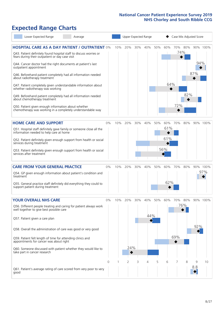# **Expected Range Charts**

| Lower Expected Range<br>Average                                                                                                                                                                                                                                                                                                                                                                                                                                                                                                                                                                                                                                                                        |       |     | Upper Expected Range |     |            |     |                          | Case Mix Adjusted Score |            |            |                 |
|--------------------------------------------------------------------------------------------------------------------------------------------------------------------------------------------------------------------------------------------------------------------------------------------------------------------------------------------------------------------------------------------------------------------------------------------------------------------------------------------------------------------------------------------------------------------------------------------------------------------------------------------------------------------------------------------------------|-------|-----|----------------------|-----|------------|-----|--------------------------|-------------------------|------------|------------|-----------------|
| <b>HOSPITAL CARE AS A DAY PATIENT / OUTPATIENT 0%</b><br>Q43. Patient definitely found hospital staff to discuss worries or<br>fears during their outpatient or day case visit<br>Q44. Cancer doctor had the right documents at patient's last<br>outpatient appointment<br>Q46. Beforehand patient completely had all information needed<br>about radiotherapy treatment<br>Q47. Patient completely given understandable information about<br>whether radiotherapy was working<br>Q49. Beforehand patient completely had all information needed<br>about chemotherapy treatment<br>Q50. Patient given enough information about whether<br>chemotherapy was working in a completely understandable way |       | 10% | 20%                  | 30% | 40%        | 50% | 60%<br>64%               | 70% 80%<br>72%          | 74%<br>82% | 94%<br>87% | 90% 100%        |
| <b>HOME CARE AND SUPPORT</b><br>Q51. Hospital staff definitely gave family or someone close all the<br>information needed to help care at home<br>Q52. Patient definitely given enough support from health or social<br>services during treatment<br>Q53. Patient definitely given enough support from health or social<br>services after treatment                                                                                                                                                                                                                                                                                                                                                    | 0%    | 10% | 20%                  | 30% | 40%        | 50% | 60%<br>61%<br>61%<br>56% | 70%                     | 80%        |            | 90% 100%        |
| <b>CARE FROM YOUR GENERAL PRACTICE</b><br>Q54. GP given enough information about patient's condition and<br>treatment<br>Q55. General practice staff definitely did everything they could to<br>support patient during treatment                                                                                                                                                                                                                                                                                                                                                                                                                                                                       | 0%    | 10% | 20%                  | 30% | 40%        | 50% | 60%<br>62%               | 70%                     | 80%        |            | 90% 100%<br>97% |
| <b>YOUR OVERALL NHS CARE</b><br>Q56. Different people treating and caring for patient always work<br>well together to give best possible care<br>Q57. Patient given a care plan<br>Q58. Overall the administration of care was good or very good<br>Q59. Patient felt length of time for attending clinics and<br>appointments for cancer was about right<br>Q60. Someone discussed with patient whether they would like to<br>take part in cancer research                                                                                                                                                                                                                                            | $0\%$ | 10% | 20%<br>24%           | 30% | 40%<br>44% | 50% | 60%                      | 70%<br>69%              | 80%<br>76% | 92%        | 90% 100%        |
| Q61. Patient's average rating of care scored from very poor to very<br>good                                                                                                                                                                                                                                                                                                                                                                                                                                                                                                                                                                                                                            | 0     |     | 2                    | 3   | 4          | 5   | 6                        | 7                       | 8          | 9<br>8.8   | 10              |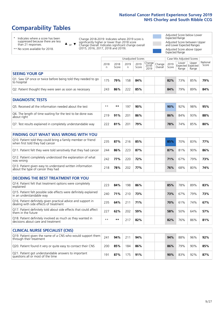# **Comparability Tables**

\* Indicates where a score has been suppressed because there are less than 21 responses.

\*\* No score available for 2018.

 $\triangle$  or  $\nabla$ 

Change 2018-2019: Indicates where 2019 score is significantly higher or lower than 2018 score Change Overall: Indicates significant change overall (2015, 2016, 2017, 2018 and 2019).

Adjusted Score below Lower Expected Range Adjusted Score between Upper and Lower Expected Ranges Adjusted Score above Upper Expected Range

|                                                                             | Unadjusted Scores<br>Case Mix Adjusted Scores |               |           |               |                                                    |         |               |                |                                     |                   |
|-----------------------------------------------------------------------------|-----------------------------------------------|---------------|-----------|---------------|----------------------------------------------------|---------|---------------|----------------|-------------------------------------|-------------------|
|                                                                             | 2018<br>n                                     | 2018<br>Score | 2019<br>n | 2019<br>Score | $\sqrt{(\text{Change})^2}$ Change<br>2018-<br>2019 | Overall | 2019<br>Score | Lower<br>Range | Upper<br>Expected Expected<br>Range | National<br>Score |
| <b>SEEING YOUR GP</b>                                                       |                                               |               |           |               |                                                    |         |               |                |                                     |                   |
| Q1. Saw GP once or twice before being told they needed to go<br>to hospital | 175                                           | 79%           | 158       | 84%           |                                                    |         | 82%           | 73%            | 85%                                 | 79%               |
| Q2. Patient thought they were seen as soon as necessary                     | 243                                           | 86%           | 222       | 85%           |                                                    |         | 84%           | 79%            | 89%                                 | 84%               |
| <b>DIAGNOSTIC TESTS</b>                                                     |                                               |               |           |               |                                                    |         |               |                |                                     |                   |

| <b>UMUNUSIN ILSIS</b>                                                     |      |     |     |     |  |  |     |     |     |     |  |  |
|---------------------------------------------------------------------------|------|-----|-----|-----|--|--|-----|-----|-----|-----|--|--|
| Q5. Received all the information needed about the test                    | $**$ | **  | -97 | 90% |  |  | 90% | 92% | 98% | 95% |  |  |
| Q6. The length of time waiting for the test to be done was<br>about right | 219  | 91% | 201 | 86% |  |  | 86% | 84% | 93% | 88% |  |  |
| Q7. Test results explained in completely understandable way               | 222  | 81% | 201 | 79% |  |  | 78% | 74% | 85% | 80% |  |  |

| <b>FINDING OUT WHAT WAS WRONG WITH YOU</b>                                                      |     |     |     |     |  |     |     |     |     |
|-------------------------------------------------------------------------------------------------|-----|-----|-----|-----|--|-----|-----|-----|-----|
| Q10. Patient told they could bring a family member or friend<br>when first told they had cancer | 235 | 87% | 216 | 85% |  | 85% | 70% | 83% | 77% |
| Q11. Patient felt they were told sensitively that they had cancer                               | 244 | 86% | 223 | 87% |  | 87% | 81% | 90% | 86% |
| Q12. Patient completely understood the explanation of what<br>was wrong                         | 242 | 77% | 220 | 72% |  | 71% | 67% | 79% | 73% |
| Q13. Patient given easy to understand written information<br>about the type of cancer they had  | 218 | 78% | 202 | 77% |  | 76% | 68% | 80% | 74% |

| <b>DECIDING THE BEST TREATMENT FOR YOU</b>                                                              |      |     |     |     |  |     |     |     |     |
|---------------------------------------------------------------------------------------------------------|------|-----|-----|-----|--|-----|-----|-----|-----|
| Q14. Patient felt that treatment options were completely<br>explained                                   | 223  | 84% | 198 | 86% |  | 85% | 78% | 89% | 83% |
| Q15. Patient felt possible side effects were definitely explained<br>in an understandable way           | 240  | 71% | 210 | 73% |  | 73% | 67% | 79% | 73% |
| Q16. Patient definitely given practical advice and support in<br>dealing with side effects of treatment | 235  | 64% | 211 | 71% |  | 70% | 61% | 74% | 67% |
| Q17. Patient definitely told about side effects that could affect<br>them in the future                 | 227  | 62% | 202 | 59% |  | 58% | 50% | 64% | 57% |
| Q18. Patient definitely involved as much as they wanted in<br>decisions about care and treatment        | $**$ | **  |     | 82% |  | 82% | 76% | 86% | 81% |

| <b>CLINICAL NURSE SPECIALIST (CNS)</b>                                                    |     |     |     |     |  |     |     |     |     |
|-------------------------------------------------------------------------------------------|-----|-----|-----|-----|--|-----|-----|-----|-----|
| Q19. Patient given the name of a CNS who would support them<br>through their treatment    | 241 | 94% | 211 | 94% |  | 94% | 88% | 96% | 92% |
| Q20. Patient found it very or quite easy to contact their CNS                             | 200 | 85% | 184 | 86% |  | 86% | 79% | 90% | 85% |
| Q21. Patient got understandable answers to important<br>questions all or most of the time | 191 | 87% | 175 | 91% |  | 90% | 83% | 92% | 87% |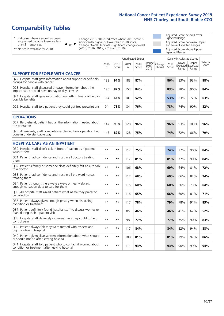# **Comparability Tables**

\* Indicates where a score has been suppressed because there are less than 21 responses.

\*\* No score available for 2018.

 $\triangle$  or  $\nabla$ 

Change 2018-2019: Indicates where 2019 score is significantly higher or lower than 2018 score Change Overall: Indicates significant change overall (2015, 2016, 2017, 2018 and 2019).

Adjusted Score below Lower Expected Range Adjusted Score between Upper and Lower Expected Ranges Adjusted Score above Upper Expected Range

|                                                                                                                   |              |               | <b>Unadjusted Scores</b> |               |                         |                   |               | Case Mix Adjusted Scores            |                |                   |
|-------------------------------------------------------------------------------------------------------------------|--------------|---------------|--------------------------|---------------|-------------------------|-------------------|---------------|-------------------------------------|----------------|-------------------|
|                                                                                                                   | 2018<br>n    | 2018<br>Score | 2019<br>n.               | 2019<br>Score | Change<br>2018-<br>2019 | Change<br>Overall | 2019<br>Score | Lower<br>Expected Expected<br>Range | Upper<br>Range | National<br>Score |
| <b>SUPPORT FOR PEOPLE WITH CANCER</b>                                                                             |              |               |                          |               |                         |                   |               |                                     |                |                   |
| Q22. Hospital staff gave information about support or self-help<br>groups for people with cancer                  | 188          | 91%           | 183                      | 87%           |                         |                   | 86%           | 83%                                 | 93%            | 88%               |
| Q23. Hospital staff discussed or gave information about the<br>impact cancer could have on day to day activities  | 170          | 87%           | 153                      | 84%           |                         |                   | 83%           | 78%                                 | 90%            | 84%               |
| Q24. Hospital staff gave information on getting financial help or<br>possible benefits                            | 114          | 61%           | 101                      | 52%           |                         |                   | 53%           | 53%                                 | 72%            | 63%               |
| Q25. Hospital staff told patient they could get free prescriptions                                                | 94           | 73%           | 84                       | 76%           |                         |                   | 78%           | 74%                                 | 90%            | 82%               |
| <b>OPERATIONS</b>                                                                                                 |              |               |                          |               |                         |                   |               |                                     |                |                   |
| Q27. Beforehand, patient had all the information needed about<br>the operation                                    | 147          | 98%           | 128                      | 96%           |                         |                   | 96%           | 93%                                 | 100%           | 96%               |
| Q28. Afterwards, staff completely explained how operation had<br>gone in understandable way                       | 146          | 82%           | 128                      | 75%           |                         |                   | 74%           | 72%                                 | 86%            | 79%               |
| <b>HOSPITAL CARE AS AN INPATIENT</b>                                                                              |              |               |                          |               |                         |                   |               |                                     |                |                   |
| Q30. Hospital staff didn't talk in front of patient as if patient<br>wasn't there                                 | $* *$        | **            | 117                      | 75%           |                         |                   | 74%           | 77%                                 | 90%            | 84%               |
| Q31. Patient had confidence and trust in all doctors treating<br>them                                             | $* *$        | $***$         | 117                      | 81%           |                         |                   | 81%           | 77%                                 | 90%            | 84%               |
| Q32. Patient's family or someone close definitely felt able to talk<br>to a doctor                                | $* *$        | $***$         | 106                      | 68%           |                         |                   | 69%           | 64%                                 | 81%            | 72%               |
| Q33. Patient had confidence and trust in all the ward nurses<br>treating them                                     | $\star\star$ | **            | 117                      | 68%           |                         |                   | 69%           | 66%                                 | 82%            | 74%               |
| Q34. Patient thought there were always or nearly always<br>enough nurses on duty to care for them                 | $* *$        | **            | 115                      | 60%           |                         |                   | 60%           | 56%                                 | 73%            | 64%               |
| Q35. All hospital staff asked patient what name they prefer to<br>be called by                                    | $* *$        | $***$         | 116                      | 65%           |                         |                   | 66%           | 60%                                 | 81%            | 71%               |
| Q36. Patient always given enough privacy when discussing<br>condition or treatment                                | $**$         | $***$         | 117                      | 78%           |                         |                   | 79%           | 78%                                 | 91%            | 85%               |
| Q37. Patient definitely found hospital staff to discuss worries or<br>fears during their inpatient visit          | $**$         | **            | 85                       | 46%           |                         |                   | 46%           | 41%                                 | 62%            | 52%               |
| Q38. Hospital staff definitely did everything they could to help<br>control pain                                  | $* *$        | **            | 98                       | 77%           |                         |                   | 77%           | 75%                                 | 90%            | 83%               |
| Q39. Patient always felt they were treated with respect and<br>dignity while in hospital                          | $***$        | **            | 117                      | 84%           |                         |                   | 84%           | 82%                                 | 94%            | 88%               |
| Q40. Patient given clear written information about what should<br>or should not do after leaving hospital         | $**$         | $***$         | 108                      | 81%           |                         |                   | 81%           | 79%                                 | 92%            | 86%               |
| Q41. Hospital staff told patient who to contact if worried about<br>condition or treatment after leaving hospital | $**$         | **            | 111                      | 93%           |                         |                   | 93%           | 90%                                 | 99%            | 94%               |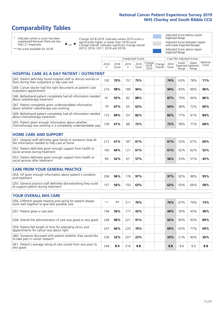# **Comparability Tables**

\* Indicates where a score has been suppressed because there are less than 21 responses.

\*\* No score available for 2018.

 $\triangle$  or  $\nabla$ 

Change 2018-2019: Indicates where 2019 score is significantly higher or lower than 2018 score Change Overall: Indicates significant change overall (2015, 2016, 2017, 2018 and 2019).

Adjusted Score below Lower Expected Range Adjusted Score between Upper and Lower Expected Ranges Adjusted Score above Upper Expected Range

|                                                                                                                       |              |               | <b>Unadjusted Scores</b> |               |                         |                   |               | Case Mix Adjusted Scores            |                |                   |
|-----------------------------------------------------------------------------------------------------------------------|--------------|---------------|--------------------------|---------------|-------------------------|-------------------|---------------|-------------------------------------|----------------|-------------------|
|                                                                                                                       | 2018<br>n    | 2018<br>Score | 2019<br>n                | 2019<br>Score | Change<br>2018-<br>2019 | Change<br>Overall | 2019<br>Score | Lower<br>Expected Expected<br>Range | Upper<br>Range | National<br>Score |
| <b>HOSPITAL CARE AS A DAY PATIENT / OUTPATIENT</b>                                                                    |              |               |                          |               |                         |                   |               |                                     |                |                   |
| Q43. Patient definitely found hospital staff to discuss worries or<br>fears during their outpatient or day case visit | 192          | 70%           | 157                      | 75%           |                         |                   | 74%           | 63%                                 | 78%            | 71%               |
| Q44. Cancer doctor had the right documents at patient's last<br>outpatient appointment                                | 216          | 98%           | 189                      | 94%           |                         |                   | 94%           | 93%                                 | 99%            | 96%               |
| Q46. Beforehand patient completely had all information needed<br>about radiotherapy treatment                         | 91           | 93%           | 82                       | 88%           |                         |                   | 87%           | 79%                                 | 94%            | 86%               |
| Q47. Patient completely given understandable information<br>about whether radiotherapy was working                    | 79           | 67%           | 65                       | 63%           |                         |                   | 64%           | 48%                                 | 72%            | 60%               |
| Q49. Beforehand patient completely had all information needed<br>about chemotherapy treatment                         | 123          | 84%           | 101                      | 82%           |                         |                   | 82%           | 77%                                 | 91%            | 84%               |
| Q50. Patient given enough information about whether<br>chemotherapy was working in a completely understandable way    | 109          | 61%           | 88                       | 72%           |                         |                   | 72%           | 58%                                 | 77%            | 68%               |
| <b>HOME CARE AND SUPPORT</b>                                                                                          |              |               |                          |               |                         |                   |               |                                     |                |                   |
| Q51. Hospital staff definitely gave family or someone close all<br>the information needed to help care at home        | 212          | 61%           | 187                      | 61%           |                         |                   | 61%           | 53%                                 | 67%            | 60%               |
| Q52. Patient definitely given enough support from health or<br>social services during treatment                       | 160          | 64%           | 121                      | 61%           |                         |                   | 61%           | 42%                                 | 62%            | 52%               |
| Q53. Patient definitely given enough support from health or<br>social services after treatment                        | 89           | 42%           | 67                       | 57%           |                         |                   | 56%           | 33%                                 | 57%            | 45%               |
| CARE FROM YOUR GENERAL PRACTICE                                                                                       |              |               |                          |               |                         |                   |               |                                     |                |                   |
| Q54. GP given enough information about patient's condition<br>and treatment                                           | 206          | 96%           | 176                      | 97%           |                         |                   | 97%           | 92%                                 | 98%            | 95%               |
| Q55. General practice staff definitely did everything they could<br>to support patient during treatment               | 157          | 56%           | 150                      | 63%           |                         |                   | 62%           | 50%                                 | 66%            | 58%               |
| <b>YOUR OVERALL NHS CARE</b>                                                                                          |              |               |                          |               |                         |                   |               |                                     |                |                   |
| Q56. Different people treating and caring for patient always                                                          |              |               |                          |               |                         |                   |               |                                     |                |                   |
| work well together to give best possible care                                                                         | $\star\star$ | **            | 211                      | 76%           |                         |                   | 76%           | 67%                                 | 79%            | 73%               |
| Q57. Patient given a care plan                                                                                        | 194          | 36%           | 177                      | 43%           |                         |                   | 44%           | 30%                                 | 45%            | 38%               |
| Q58. Overall the administration of care was good or very good                                                         | 248          | 90%           | 221                      | 91%           |                         |                   | 92%           | 85%                                 | 93%            | 89%               |
| Q59. Patient felt length of time for attending clinics and<br>appointments for cancer was about right                 | 247          | 66%           | 220                      | 70%           |                         |                   | 69%           | 62%                                 | 77%            | 69%               |
| Q60. Someone discussed with patient whether they would like<br>to take part in cancer research                        | 236          | 32%           | 207                      | 23%           |                         |                   | 24%           | 21%                                 | 40%            | 30%               |
| Q61. Patient's average rating of care scored from very poor to<br>very good                                           | 244          | 8.9           | 216                      | 8.8           |                         |                   | 8.8           | 8.6                                 | 9.0            | 8.8               |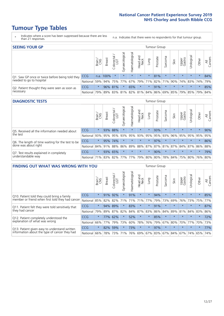# **Tumour Type Tables**

- \* Indicates where a score has been suppressed because there are less than 21 responses.
- n.a. Indicates that there were no respondents for that tumour group.

| <b>SEEING YOUR GP</b>                           |            |         |               |                   |                    |                |                  |                 | Tumour Group |         |         |                 |                                                 |         |                |
|-------------------------------------------------|------------|---------|---------------|-------------------|--------------------|----------------|------------------|-----------------|--------------|---------|---------|-----------------|-------------------------------------------------|---------|----------------|
|                                                 |            | Brain   | <b>Breast</b> | Colorectal<br>LGT | ᠊ᢛ<br>Gynaecologic | Haematological | Head and<br>Neck | Lung            | Prostate     | Sarcoma | Skin    | Upper<br>Gastro | –<br>Irologica                                  | Other   | All<br>Cancers |
| Q1. Saw GP once or twice before being told they | <b>CCG</b> |         | n.a. 100%     |                   | $\star$            | $\star$        | $\star$          | $\star$         | 81%          | $\star$ | $\star$ | $\star$         | $\star$                                         | $\star$ | 84%            |
| needed to go to hospital                        | National   | 59%     |               |                   | 94% 75% 77%        |                |                  | 67% 79% 71% 82% |              |         |         |                 | 71% 90% 74% 83% 74%                             |         | 79%            |
| Q2. Patient thought they were seen as soon as   | <b>CCG</b> | $\star$ |               | 96% 81%           |                    | 65%            | $\star$          | $\star$         | 91%          | $\star$ | $\star$ | $\star$         | $\star$                                         | $\star$ | 85%            |
| necessary                                       | National   | 79%     |               |                   |                    |                |                  |                 |              |         |         |                 | 89% 83% 81% 82% 81% 84% 86% 69% 85% 79% 85% 79% |         | 84%            |

#### **DIAGNOSTIC TESTS** Tumour Group

|                                                   |                                                                  | Brain   | <b>Breast</b> | Colorectal | ᄛ<br>Gynaecologic | Haematological | Head and<br>Neck | <b>Dung</b> | Prostate | Sarcoma | Skin    | Upper<br>Gastro | Irological              | Other   | All<br>Cancers |
|---------------------------------------------------|------------------------------------------------------------------|---------|---------------|------------|-------------------|----------------|------------------|-------------|----------|---------|---------|-----------------|-------------------------|---------|----------------|
| Q5. Received all the information needed about     | <b>CCG</b>                                                       | $\star$ |               | 93% 88%    | $\star$           | $\star$        | $\star$          | $\star$     | 93%      |         | $\star$ | $\star$         | $\star$                 | $\star$ | 90%            |
| the test                                          | National 93%                                                     |         |               | 95% 95%    | 93%               |                | 95% 93% 95% 95%  |             |          | 93%     | 96%     |                 | 95% 95%                 | 95%     | 95%            |
| Q6. The length of time waiting for the test to be | CCG                                                              | $\star$ | 95%           | 74%        | $\star$           | $\star$        | $\star$          | $\star$     | 97%      | $\star$ | $\star$ | $\star$         | $\star$                 | $\star$ | 86%            |
| done was about right                              | National 84% 91% 88% 86% 89% 88% 87% 87% 81% 87% 84% 87% 86% 88% |         |               |            |                   |                |                  |             |          |         |         |                 |                         |         |                |
| Q7. Test results explained in completely          | <b>CCG</b>                                                       | $\star$ |               | 93% 65%    | $\star$           | $\star$        | $\star$          | $\star$     | 90%      | $\star$ | $\star$ | $\star$         | $\star$                 | $\star$ | 79%            |
| understandable way                                | National 71% 83% 82% 77% 77% 79% 80% 80%                         |         |               |            |                   |                |                  |             |          |         |         |                 | 78% 84% 75% 80% 76% 80% |         |                |

| <b>FINDING OUT WHAT WAS WRONG WITH YOU</b>        |            |         |               |                       |                |               |                        |                 | <b>Tumour Group</b> |         |         |                 |            |         |                |
|---------------------------------------------------|------------|---------|---------------|-----------------------|----------------|---------------|------------------------|-----------------|---------------------|---------|---------|-----------------|------------|---------|----------------|
|                                                   |            | Brain   | <b>Breast</b> | olorectal<br>LGT<br>Û | Gynaecological | Haematologica | ad and<br>Neck<br>Head | Lung            | Prostate            | Sarcoma | Skin    | Upper<br>Gastro | Urological | Other   | All<br>Cancers |
| Q10. Patient told they could bring a family       | CCG        | $\star$ | 91%           | 92%                   |                | 91%           | $\star$                | $\star$         | 94%                 | $\star$ | $\star$ | $\star$         | $\star$    | $\star$ | 85%            |
| member or friend when first told they had cancer  | National   | 85%     | 82%           | 82%                   | 71%            | 71%           | 71%                    | 77%             | 79%                 | 73%     | 69%     | 76%             | 73%        | 75%     | 77%            |
| Q11. Patient felt they were told sensitively that | CCG        | $\star$ | 94%           | 89%                   |                | 83%           | $\ast$                 | $\star$         | 91%                 | $\star$ | $\star$ | $\star$         | $\star$    | $\star$ | 87%            |
| they had cancer                                   | National   | 79%     |               | 89% 87%               | 82%            |               |                        | 84% 87% 83% 86% |                     | 84%     | 89%     | 81%             | 84% 83%    |         | 86%            |
| Q12. Patient completely understood the            | <b>CCG</b> | $\star$ | 77%           | 62%                   |                | 52%           | $\ast$                 | $\star$         | 85%                 | $\star$ | $\star$ |                 | $\star$    | $\star$ | 72%            |
| explanation of what was wrong                     | National   | 66%     | 77%           | 79%                   | 73%            | 60%           | 78%                    | 76%             | 79%                 | 67%     | 80%     | 70%             | 77%        | 70%     | 73%            |
| Q13. Patient given easy to understand written     | CCG        | $\star$ | 82%           | 59%                   |                | 73%           | $\star$                | $\star$         | 97%                 | $\star$ | $\star$ | $\star$         | $\star$    | $\star$ | 77%            |
| information about the type of cancer they had     | National   | 66%     | 78%           | 73%                   | 71%            | 76%           | 69%                    | 67% 83%         |                     | 67%     | 84%     | 67%             | 74%        | 65%     | 74%            |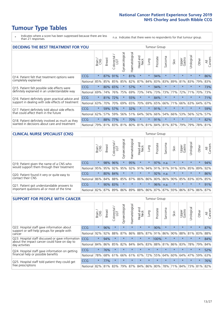# **Tumour Type Tables**

\* Indicates where a score has been suppressed because there are less than 21 responses.

n.a. Indicates that there were no respondents for that tumour group.

| <b>DECIDING THE BEST TREATMENT FOR YOU</b>         |            |         |               |                             |                |                |                        |         | <b>Tumour Group</b> |              |                                         |                 |            |         |                |
|----------------------------------------------------|------------|---------|---------------|-----------------------------|----------------|----------------|------------------------|---------|---------------------|--------------|-----------------------------------------|-----------------|------------|---------|----------------|
|                                                    |            | Brain   | <b>Breast</b> | olorectal.<br>LGT<br>$\cup$ | Gynaecological | Haematological | ad and<br>Neck<br>Head | Lung    | Prostate            | arcoma<br>vĀ | Skin                                    | Upper<br>Gastro | Jrological | Other   | All<br>Cancers |
| Q14. Patient felt that treatment options were      | CCG        | $\star$ | 87%           | 91%                         | $\star$        | 81%            | $\star$                | $\star$ | 94%                 | $\star$      | $\star$                                 | $\star$         | $\star$    | $\star$ | 86%            |
| completely explained                               | National   | 85%     | 85%           | 85%                         | 85%            | 82%            | 87%                    | 84%     | 83%                 | 83%          | 89%                                     | 81%             | 83%        | 79%     | 83%            |
| Q15. Patient felt possible side effects were       | <b>CCG</b> | $\star$ |               | 80% 65%                     | $\star$        | 57%            | $\ast$                 | $\star$ | 94%                 | $\star$      |                                         | $\star$         | $\star$    | $\star$ | 73%            |
| definitely explained in an understandable way      | National   | 69%     | 74%           | 76%                         | 75%            | 69%            | 73%                    | 74%     | 73%                 | 73%          | 77%                                     | 72%             | 71%        | 70%     | 73%            |
| Q16. Patient definitely given practical advice and | <b>CCG</b> | $\star$ | 81%           | 72%                         | $\star$        | 55%            | $\star$                | $\star$ | 84%                 | $\star$      | $\star$                                 | $\star$         | $\star$    | $\star$ | 71%            |
| support in dealing with side effects of treatment  | National   | 63%     | 70%           | 70%                         | 69%            | 65%            | 70%                    | 69%     | 65%                 | 66%          | 71%                                     | 66%             | 63%        | 64%     | 67%            |
| Q17. Patient definitely told about side effects    | <b>CCG</b> | $\star$ | 59%           | 57%                         |                | 32%            | $\star$                | $\star$ | 91%                 | $\star$      | $\star$                                 | $\star$         | $\star$    | $\star$ | 59%            |
| that could affect them in the future               | National   | 62%     | 57%           | 59%                         | 56%            | 51%            | 64%                    | 56%     | 66%                 | 54%          | 66%                                     | 53%             | 56%        | 52%     | 57%            |
| Q18. Patient definitely involved as much as they   | CCG        | $\star$ | 88%           | 77%                         | $\star$        | 70%            | $\star$                | $\star$ | 91%                 | $\star$      | $\star$                                 | $\star$         | $\star$    | $\star$ | 82%            |
| wanted in decisions about care and treatment       | National   | 79%     |               |                             |                |                |                        |         |                     |              | 81% 83% 81% 80% 81% 81% 84% 81% 87% 79% |                 | 79%        | 78% 81% |                |

#### **CLINICAL NURSE SPECIALIST (CNS)** Tumour Group

|                                             |            | Brain   | <b>Breast</b> | Colorectal<br>LGT | $\sigma$<br>Gynaecologic | Haematological | Head and<br>Neck        | Lung    | Prostate | Sarcoma | Skin    | Upper<br>Gastro | Urologica       | Other   | All<br>Cancers |
|---------------------------------------------|------------|---------|---------------|-------------------|--------------------------|----------------|-------------------------|---------|----------|---------|---------|-----------------|-----------------|---------|----------------|
| Q19. Patient given the name of a CNS who    | <b>CCG</b> | $\star$ | 98%           | 96%               |                          | 95%            | $\star$                 | $\star$ | 97%      | n.a.    |         | $\star$         | $\star$         | $\star$ | 94%            |
| would support them through their treatment  | National   | 95%     | 95%           | 92%               | 95%                      | 92%            | 91%                     | 94%     | 91%      | 91%     | 91%     | 93%             | 85%             | 89%     | 92%            |
| Q20. Patient found it very or quite easy to | <b>CCG</b> | $\star$ |               | 80% 84%           | $\star$                  | $\star$        | $\star$                 | $\star$ | 92%      | n.a.    |         | $\star$         | $\star$         | $\star$ | 86%            |
| contact their CNS                           | National   | 86%     | 84%           | 88%               | 85%                      |                | 87% 86% 86%             |         | 80%      | 86%     | 90%     | 85%             | 83% 83% 85%     |         |                |
| Q21. Patient got understandable answers to  | CCG        | $\star$ |               | 90% 83%           | $\star$                  | $\star$        | $\star$                 | $\star$ | 96%      | n.a.    | $\star$ | $\star$         | $\star$         | $\star$ | 91%            |
| important questions all or most of the time | National   | 82%     | 87%           | 89%               |                          |                | 86% 89% 88% 86% 87% 87% |         |          |         | 93%     |                 | 86% 87% 86% 87% |         |                |

| <b>SUPPORT FOR PEOPLE WITH CANCER</b>                                                             |            |         |               |                        |                |                |                        |          | Tumour Group |              |         |                 |           |         |                |
|---------------------------------------------------------------------------------------------------|------------|---------|---------------|------------------------|----------------|----------------|------------------------|----------|--------------|--------------|---------|-----------------|-----------|---------|----------------|
|                                                                                                   |            | Brain   | <b>Breast</b> | olorectal.<br>LGT<br>Ũ | Gynaecological | Haematological | ad and<br>Neck<br>Head | Lung     | Prostate     | arcoma<br>ιñ | Skin    | Upper<br>Gastro | Jrologica | Other   | All<br>Cancers |
| Q22. Hospital staff gave information about<br>support or self-help groups for people with         | <b>CCG</b> | $\star$ | 96%           | $\star$                | $\star$        | $\star$        | $\star$                | $\star$  | 90%          | $\star$      | $\star$ | $\star$         | $\star$   | $\star$ | 87%            |
| cancer                                                                                            | National   | 92%     | 92%           | 88%                    | 87%            | 86%            | 88%                    | 87%      | 91%          | 86%          | 90%     | 88%             | 81%       | 83%     | 88%            |
| Q23. Hospital staff discussed or gave information<br>about the impact cancer could have on day to | CCG        | $\star$ | 94%           | $\star$                | $\star$        | $\star$        | $\star$                | $^\star$ | 100%         | $\star$      | $\star$ | $\star$         | $\star$   | $\star$ | 84%            |
| day activities                                                                                    | National   | 84%     | 86%           | 85%                    | 82%            | 84%            | 84%                    | 83%      | 88%          | 81%          | 86%     | 83%             | 78%       | 79%     | 84%            |
| Q24. Hospital staff gave information on getting                                                   | CCG        | $\star$ | 76%           | $\star$                | $\star$        | $\star$        | $\star$                | $\star$  | $\star$      | $\star$      | $\star$ | $\star$         | $\star$   | $\star$ | 52%            |
| financial help or possible benefits                                                               | National   | 78%     | 68%           | 61%                    | 66%            | 61%            | 67%                    | 72%      | 55%          | 64%          | 60%     | 64%             | 47%       | 59%     | 63%            |
| Q25. Hospital staff told patient they could get                                                   | <b>CCG</b> | $\star$ | 77%           | $\star$                | $\star$        | $\star$        | $\star$                | $\star$  | $\star$      | $\star$      | $\star$ | $\star$         | $\star$   | $\ast$  | 76%            |
| free prescriptions                                                                                | National I | 82%     |               | 81% 83%                | 79%            | 87%            |                        |          | 84% 86% 80%  | 78%          | 71%     | $84\%$          | 73%       | 81%     | 82%            |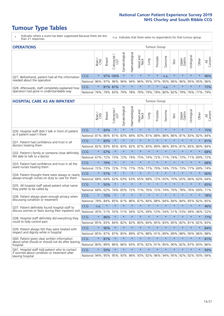# **Tumour Type Tables**

- \* Indicates where a score has been suppressed because there are less than 21 responses.
- n.a. Indicates that there were no respondents for that tumour group.

| <b>OPERATIONS</b>                                |              |         |               |                       |                    |                |                  |                                             | Tumour Group |         |         |                 |            |         |                |
|--------------------------------------------------|--------------|---------|---------------|-----------------------|--------------------|----------------|------------------|---------------------------------------------|--------------|---------|---------|-----------------|------------|---------|----------------|
|                                                  |              | Brain   | <b>Breast</b> | olorectal<br>LGT<br>Ü | ᠊ᢛ<br>Gynaecologic | Haematological | Head and<br>Neck | Lung                                        | Prostate     | Sarcoma | Skin    | Upper<br>Gastro | Urological | Other   | All<br>Cancers |
| Q27. Beforehand, patient had all the information | CCG          | $\star$ |               | 97% 100%              | $\star$            |                | $\star$          | $\star$                                     | $\star$      | n.a.    | $\star$ | $\star$         | $\star$    | $\star$ | 96%            |
| needed about the operation                       | National     | 96%     | 97%           | 96%                   |                    |                |                  | 96% 94% 96% 95% 97% 95% 96% 96% 95% 95% 95% |              |         |         |                 |            |         | 96%            |
| Q28. Afterwards, staff completely explained how  | <b>CCG</b>   | $\star$ |               | 81% 81%               | $\star$            | $\star$        | $\star$          | $\star$                                     | $\star$      | n.a.    | $\star$ | $\star$         | $\star$    | $\star$ | 75%            |
| operation had gone in understandable way         | National 76% |         |               | 79% 83%               |                    |                |                  | 79% 78% 79% 79% 78% 80% 82% 79% 76% 77%     |              |         |         |                 |            |         | 79%            |

#### **HOSPITAL CARE AS AN INPATIENT** Tumour Group

|                                                                                                  |            | Brain   | <b>Breast</b> | Colorectal /<br>LGT | Gynaecological | Haematological | Head and<br><b>Neck</b> | Lung    | Prostate | Sarcoma | Skin    | Upper<br>Gastro | Urological | Other   | Cancers<br>$\overline{\overline{z}}$ |
|--------------------------------------------------------------------------------------------------|------------|---------|---------------|---------------------|----------------|----------------|-------------------------|---------|----------|---------|---------|-----------------|------------|---------|--------------------------------------|
| Q30. Hospital staff didn't talk in front of patient                                              | CCG        | $\star$ | 83%           | $\star$             | $\star$        | $\star$        | $\star$                 | $\star$ | $\star$  | $\star$ | $\star$ | $\star$         | $\star$    | $\star$ | 75%                                  |
| as if patient wasn't there                                                                       | National   | 81%     | 86%           | 81%                 | 83%            | 84%            | 83%                     | 81%     | 88%      | 86%     | 86%     | 81%             | 83%        | 82%     | 84%                                  |
| 031. Patient had confidence and trust in all                                                     | CCG        | $\star$ | 83%           | $\star$             | $\star$        | $\star$        | $\star$                 | $\star$ | $\star$  | $\star$ | $\star$ | $\star$         | $\star$    | $\star$ | 81%                                  |
| doctors treating them                                                                            | National   | 82%     | 83%           | 85%                 | 83%            | 82%            | 87%                     | 83%     | 89%      | 86%     | 85%     | 81%             | 85%        | 80%     | 84%                                  |
| Q32. Patient's family or someone close definitely                                                | CCG        | $\star$ | 67%           | $\star$             | $\star$        | $\star$        | $\star$                 | $\star$ | $\star$  | $\star$ | $\star$ | $\star$         | $\star$    | $\star$ | 68%                                  |
| felt able to talk to a doctor                                                                    | National   | 67%     | 72%           | 73%                 | 72%            | 74%            | 75%                     | 74%     | 72%      | 71%     | 74%     | 73%             | 71%        | 69%     | 72%                                  |
| Q33. Patient had confidence and trust in all the                                                 | CCG        | $\star$ | 79%           | $\star$             | $\star$        | $\star$        | $\star$                 | $\star$ | $\star$  | $\star$ | $\star$ | $\star$         | $\star$    | $\star$ | 68%                                  |
| ward nurses treating them                                                                        | National   | 72%     | 73%           | 72%                 | 71%            | 77%            |                         | 75% 77% | 79%      | 74%     | 75%     | 73%             | 77%        | 69%     | 74%                                  |
| Q34. Patient thought there were always or nearly                                                 | CCG        | $\star$ | 57%           | $\star$             | $\star$        | $\star$        | $\star$                 | $\star$ | $\star$  | $\star$ | $\star$ | $\star$         | $\star$    | $\star$ | 60%                                  |
| always enough nurses on duty to care for them                                                    | National   | 68%     | 64%           | 62%                 | 63%            | 63%            | 65%                     | 68%     | 72%      | 65%     | 70%     | 65%             | 66%        | 60%     | 64%                                  |
| Q35. All hospital staff asked patient what name                                                  | CCG        | $\star$ | 50%           | $\star$             | $\star$        | $\star$        | $\star$                 | $\star$ | $\star$  | $\star$ | $\star$ | $\star$         | $\star$    | $\star$ | 65%                                  |
| they prefer to be called by                                                                      | National   | 68%     | 62%           | 74%                 | 65%            | 72%            |                         | 71% 76% | 72%      | 74%     | 70%     | 78%             | 76%        | 69%     | 71%                                  |
| Q36. Patient always given enough privacy when                                                    | CCG        | $\star$ | 72%           | $\star$             | $\star$        | $\star$        | $\star$                 | $\star$ | $\star$  | $\star$ | $\star$ | $\star$         | $\star$    | $\star$ | 78%                                  |
| discussing condition or treatment                                                                | National   | 78%     | 84%           | 85%                 | 81%            | 86%            |                         | 87% 84% | 88%      | 84%     | 84%     | 84%             | 85%        | 82%     | 85%                                  |
| Q37. Patient definitely found hospital staff to                                                  | <b>CCG</b> | n.a.    | $\star$       | $\star$             | $\star$        | $\star$        | $\star$                 | $\star$ | $\star$  | $\star$ | $\star$ | $\star$         | $\star$    | $\star$ | 46%                                  |
| discuss worries or fears during their inpatient visit                                            | National   | 45%     | 51%           | 55%                 | 51%            | 56%            | 52%                     | 49%     | 53%      | 54%     | 51%     | 53%             | 49%        | 46%     | 52%                                  |
| Q38. Hospital staff definitely did everything they                                               | CCG        | $\star$ | 86%           | $\star$             | $\star$        | $\star$        | $\star$                 | $\star$ | $\star$  | $\star$ | $\star$ | $\star$         | $\star$    | $\star$ | 77%                                  |
| could to help control pain                                                                       | National   | 85%     | 83%           | 84%                 | 82%            | 82%            | 80%                     | 84%     | 85%      | 83%     | 85%     | 82%             | 81%        | 82%     | 83%                                  |
| Q39. Patient always felt they were treated with                                                  | CCG        | $\star$ | 90%           | $\star$             | $\star$        | $\star$        | $\star$                 | $\star$ | $\star$  | $\star$ | $\star$ | $\star$         | $\star$    | $\star$ | 84%                                  |
| respect and dignity while in hospital                                                            | National   | 85%     | 87%           | 87%                 | 85%            | 89%            |                         | 87% 88% | 91%      | 89%     | 89%     | 88%             | 90%        | 86%     | 88%                                  |
| Q40. Patient given clear written information<br>about what should or should not do after leaving | CCG        | $\star$ | 81%           | $\star$             | $\star$        | $\star$        | $\star$                 | $\star$ | $\star$  | $\star$ | $\star$ | $\star$         | $\star$    | $\star$ | 81%                                  |
| hospital                                                                                         | National   | 80%     | 89%           | 86%                 | 86%            | 83%            | 87%                     | 82%     | 91%      | 85%     | 90%     | 82%             | 87%        | 83%     | 86%                                  |
| Q41. Hospital staff told patient who to contact<br>if worried about condition or treatment after | CCG        | $\star$ | 93%           | $\star$             | $\star$        | $\star$        | $\star$                 | $\star$ | $\star$  | $\star$ | $\star$ | $\star$         | $\star$    | $\star$ | 93%                                  |
| leaving hospital                                                                                 | National   | 94%     | 95%           | 95% 93%             |                |                | 96% 93% 92%             |         |          | 96% 94% |         | 95% 92%         | 92%        | 93%     | 94%                                  |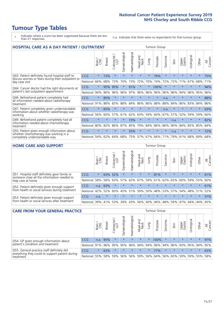# **Tumour Type Tables**

- \* Indicates where a score has been suppressed because there are less than 21 responses.
- n.a. Indicates that there were no respondents for that tumour group.

| <b>HOSPITAL CARE AS A DAY PATIENT / OUTPATIENT</b>                                     | <b>Tumour Group</b> |         |               |                                 |                |                |                         |         |          |         |         |                 |            |         |                |
|----------------------------------------------------------------------------------------|---------------------|---------|---------------|---------------------------------|----------------|----------------|-------------------------|---------|----------|---------|---------|-----------------|------------|---------|----------------|
|                                                                                        |                     | Brain   | <b>Breast</b> | ╮<br>olorectal<br>LGT<br>$\cup$ | Gynaecological | Haematological | ead and<br>Neck<br>Head | Lung    | Prostate | Sarcoma | Skin    | Upper<br>Gastro | Urological | Other   | All<br>Cancers |
| Q43. Patient definitely found hospital staff to                                        | <b>CCG</b>          | $\star$ | 73%           | $\star$                         | $\star$        | $\star$        | $\star$                 | $\star$ | 79%      | $\star$ | $\star$ | $\star$         | $\star$    | $\star$ | 75%            |
| discuss worries or fears during their outpatient or<br>day case visit                  | National            | 66%     | 68%           | 73%                             | 70%            | 73%            | 72%                     | 70%     | 74%      | 72%     | 72%     | 71%             | 67%        | 68%     | 71%            |
| Q44. Cancer doctor had the right documents at<br>patient's last outpatient appointment | <b>CCG</b>          | $\star$ | 95%           | 95%                             | $\star$        | 91%            | $\star$                 | $\star$ | 100%     | $\star$ |         |                 | $\star$    | $\ast$  | 94%            |
|                                                                                        | National            | 94%     | 96%           | 96%                             | 96%            | 97%            | 96%                     | 96%     | 96%      | 96%     | 96%     | 94%             | 96%        | 95%     | 96%            |
| Q46. Beforehand patient completely had                                                 | CCG                 | $\star$ | 85%           | $\star$                         |                |                | $\star$                 | $\star$ | $\star$  | n.a.    |         | $\star$         | $\star$    | $\star$ | 88%            |
| all information needed about radiotherapy<br>treatment                                 | National            | 91%     | 88%           | 83%                             | 88%            | 84%            | 86%                     | 86%     | 88%      | 88%     | 84%     | 86%             | 83%        | 84%     | 86%            |
| Q47. Patient completely given understandable                                           | CCG                 | $\star$ | 65%           | $\star$                         | $\star$        |                | $\star$                 | $\star$ | $\star$  | n.a.    | $\star$ | $\star$         | $\star$    | $\star$ | 63%            |
| information about whether radiotherapy was<br>working                                  | National            | 56%     | 60%           | 57%                             | 61%            | 62%            | 63%                     | 59%     | 60%      | 67%     | 57%     | 52%             | 59%        | 59%     | 60%            |
| Q49. Beforehand patient completely had all                                             | CCG                 | $\star$ | $\star$       | $\star$                         |                | 73%            | $\star$                 | $\star$ | $\star$  | $\star$ | n.a.    | $\star$         | $\star$    | $\star$ | 82%            |
| information needed about chemotherapy<br>treatment                                     | National            | 80%     | 82%           | 86%                             | 87%            | 85%            | 79%                     | 84%     | 86%      | 86%     | 90%     | 84%             | 85%        | 85%     | 84%            |
| Q50. Patient given enough information about                                            | CCG                 | $\star$ | $\star$       | $\star$                         | $\star$        | 55%            | $\star$                 | $\star$ | $\star$  | $\star$ | n.a.    | $\star$         | $\star$    | $\star$ | 72%            |
| whether chemotherapy was working in a<br>completely understandable way                 | National            | 54%     | 62%           | 64%                             | 68%            | 75%            |                         | 57% 67% | 66%      | 71%     | 79%     | 61%             | 68%        | 69%     | 68%            |

#### **HOME CARE AND SUPPORT** Tumour Group

|                                                                                                                   |            | Brain   | Breast  | Colorectal<br>LGT | $\sigma$<br>Gynaecologic | Haematological | Head and<br>Neck | Dung            | Prostate | Sarcoma | Skin    | Upper<br>Gastro | rological   | Other   | All<br>Cancers |
|-------------------------------------------------------------------------------------------------------------------|------------|---------|---------|-------------------|--------------------------|----------------|------------------|-----------------|----------|---------|---------|-----------------|-------------|---------|----------------|
| Q51. Hospital staff definitely gave family or<br>someone close all the information needed to<br>help care at home | <b>CCG</b> | $\star$ | 63%     | 52%               | $\star$                  | $\star$        | $\star$          | $\star$         | 81%      | $\star$ | $\star$ | $\star$         | $\star$     | $\star$ | 61%            |
|                                                                                                                   | National   | 58%     | 58%     | 63%               | 57%                      |                |                  | 62% 67% 59% 61% |          |         | 62% 65% | 60%             | 59% 55%     |         | 60%            |
| Q52. Patient definitely given enough support<br>from health or social services during treatment                   | <b>CCG</b> | n.a.    | 63%     |                   | $\star$                  |                | $\star$          | $\star$         | $\star$  |         | $\star$ | $\star$         | $\star$     | $\star$ | 61%            |
|                                                                                                                   | National   | 42%     | 52%     | 60%               |                          | 45% 51%        | 59%              | 50%             | 48%      |         | 53% 57% |                 | 54% 48% 51% |         | 52%            |
| Q53. Patient definitely given enough support<br>from health or social services after treatment                    | <b>CCG</b> | n.a.    | $\star$ |                   | $\star$                  |                | $\star$          | $\star$         | $\star$  | $\star$ | $\star$ | $\star$         | $\star$     | $\star$ | 57%            |
|                                                                                                                   | National l | 39%     | 41% 53% |                   | 39%                      | $ 43\% $       | 56%              | 40%             | 46%      | 48%     | 59%     | 47%             | 44%         | 44%     | 45%            |

| <b>CARE FROM YOUR GENERAL PRACTICE</b>                                      |              |         |               |                   |                |                |                  | Tumour Group |                             |         |         |                 |            |         |                |
|-----------------------------------------------------------------------------|--------------|---------|---------------|-------------------|----------------|----------------|------------------|--------------|-----------------------------|---------|---------|-----------------|------------|---------|----------------|
|                                                                             |              | Brain   | <b>Breast</b> | Colorectal<br>LGT | Gynaecological | Haematological | Head and<br>Neck | Lung         | Prostate                    | Sarcoma | Skin    | Upper<br>Gastro | Urological | Other   | All<br>Cancers |
| Q54. GP given enough information about<br>patient's condition and treatment | CCG          | n.a.    | 95%           | $\star$           | $\star$        | $\star$        | $\star$          | $\star$      | 100%                        | $\star$ | $\star$ | $\star$         | $\star$    | $\star$ | 97%            |
|                                                                             | National 91% |         |               | 96% 95%           | 95%            |                |                  |              | 96% 94% 94% 96% 94% 96% 93% |         |         |                 |            | 95% 94% | 95%            |
| Q55. General practice staff definitely did                                  | <b>CCG</b>   | $\star$ | 63%           | $\star$           | $\star$        | $\star$        | $\star$          | $\star$      | 77%                         | $\star$ | $\star$ | $\star$         | $\star$    | $\star$ | 63%            |
| everything they could to support patient during<br>treatment                | National     | 55%     |               | 58% 59%           | 56%            |                | 56% 59%          |              | 56% 64%                     |         | 56% 65% | 59%             |            | 59% 55% | 58%            |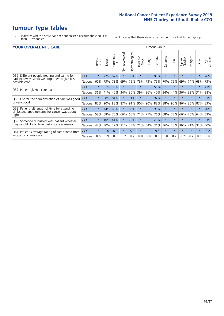# **Tumour Type Tables**

- \* Indicates where a score has been suppressed because there are less than 21 responses.
- n.a. Indicates that there were no respondents for that tumour group.

|  | <b>YOUR OVERALL NHS CARE</b> |  |  |
|--|------------------------------|--|--|
|--|------------------------------|--|--|

| <b>YOUR OVERALL NHS CARE</b>                                    |            |              |               |                   |                |                |                         |          | <b>Tumour Group</b> |         |         |                 |                 |         |                |  |  |
|-----------------------------------------------------------------|------------|--------------|---------------|-------------------|----------------|----------------|-------------------------|----------|---------------------|---------|---------|-----------------|-----------------|---------|----------------|--|--|
|                                                                 |            | Brain<br>CNS | <b>Breast</b> | Colorectal<br>LGT | Gynaecological | Haematological | aad and<br>Neck<br>Head | Lung     | Prostate            | Sarcoma | Skin    | Upper<br>Gastro | Irological<br>⊃ | Other   | All<br>Cancers |  |  |
| Q56. Different people treating and caring for                   | <b>CCG</b> | $\star$      | 77%           | 67%               | $\star$        | 65%            | $\star$                 | $\star$  | 83%                 | $\star$ | $\star$ | $\star$         | $\star$         | $\ast$  | 76%            |  |  |
| patient always work well together to give best<br>possible care | National   | 60%          | 73%           | 73%               | 69%            | 75%            | 73%                     | 73%      | 75%                 | 70%     | 79%     | 69%             | 74%             | 68%     | 73%            |  |  |
| Q57. Patient given a care plan                                  | <b>CCG</b> | $\star$      | 51%           | 33%               | $\star$        |                | $\star$                 |          | 55%                 | $\star$ | $\star$ | $\star$         |                 | $\ast$  | 43%            |  |  |
|                                                                 | National   | 36%          | 41%           | 40%               | 34%            | 36%            | 39%                     | 36%      | 40%                 | 34%     | 44%     | 36%             | 33%             | 31%     | 38%            |  |  |
| Q58. Overall the administration of care was good                | <b>CCG</b> | $\star$      |               | 98% 81%           | $\star$        | 91%            | $\ast$                  | $\star$  | 97%                 | $\star$ | $\star$ | $\star$         | $\star$         | $\ast$  | 91%            |  |  |
| or very good                                                    | National   | 85%          | 90%           | 88%               | 87%            | 91%            | 90%                     | 90%      | 88%                 | 88%     | 90%     | 86%             | 85%             | 87%     | 89%            |  |  |
| Q59. Patient felt length of time for attending                  | <b>CCG</b> | $\star$      | 74%           | 63%               |                | 83%            | $^\star$                | $^\star$ | 91%                 | $\star$ | 头       |                 |                 | $\ast$  | 70%            |  |  |
| clinics and appointments for cancer was about<br>right          | National   | 58%          | 68%           | 73%               | 66%            | 66%            | 71%                     | 71%      | 76%                 | 68%     | 73%     | 66%             | 75%             | 64%     | 69%            |  |  |
| Q60. Someone discussed with patient whether                     | <b>CCG</b> | $\star$      | 16%           | 41%               |                | 29%            | $\star$                 | $\star$  | 21%                 | $\star$ | $\star$ | $\star$         | $\star$         | $\star$ | 23%            |  |  |
| they would like to take part in cancer research                 | National   | 42%          | 30%           | 32%               | 31%            | 33%            | 21%                     | 34%      | 31%                 | 36%     | 20%     | 36%             | 21%             | 32%     | 30%            |  |  |
| Q61. Patient's average rating of care scored from               | <b>CCG</b> | $\star$      | 9.0           | 8.2               | $\star$        | 8.8            | $\ast$                  | $\star$  | 9.5                 | $\star$ | $\star$ | $\star$         | $\star$         | $\ast$  | 8.8            |  |  |
| very poor to very good                                          | National   | 8.6          | 8.9           | 8.8               | 8.7            | 8.9            | 8.8                     | 8.8      | 8.8                 | 8.8     | 8.9     | 8.7             | 8.7             | 8.7     | 8.8            |  |  |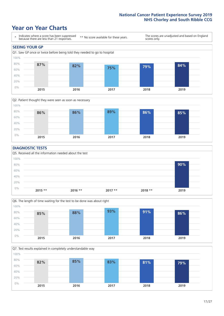### **Year on Year Charts**





#### **DIAGNOSTIC TESTS**





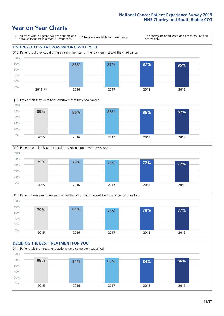







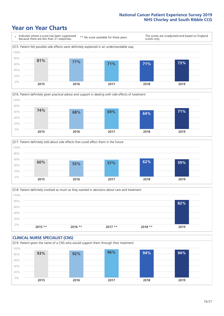







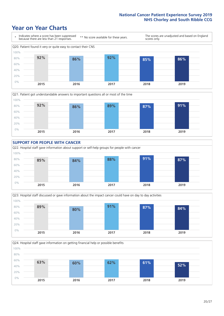







Q24. Hospital staff gave information on getting financial help or possible benefits 0% 20% 40% 60% 80% 100% **2015 2016 2017 2018 2019 63% 60% 62% 61% 52%**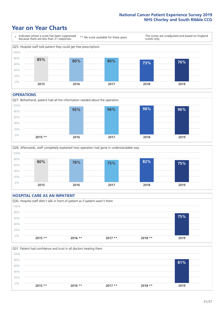### **Year on Year Charts**



#### **OPERATIONS**





#### **HOSPITAL CARE AS AN INPATIENT** Q30. Hospital staff didn't talk in front of patient as if patient wasn't there 0% 20% 40% 60% 80% 100% **2015 \*\* 2016 \*\* 2017 \*\* 2018 \*\* 2019 75%**

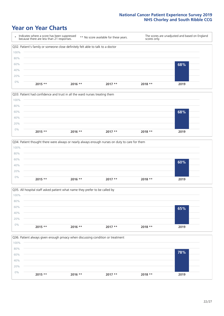







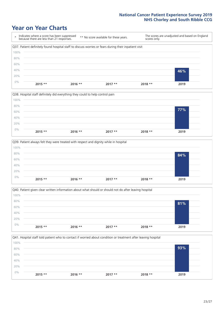







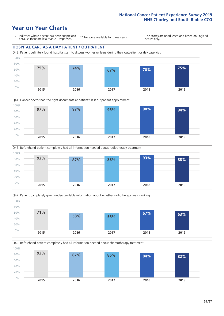### **Year on Year Charts**

\* Indicates where a score has been suppressed because there are less than 21 responses.

\*\* No score available for these years.

The scores are unadjusted and based on England scores only.

#### **HOSPITAL CARE AS A DAY PATIENT / OUTPATIENT**









Q49. Beforehand patient completely had all information needed about chemotherapy treatment 100%

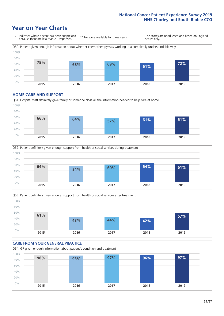### **Year on Year Charts**



#### **HOME CARE AND SUPPORT**







#### **CARE FROM YOUR GENERAL PRACTICE** Q54. GP given enough information about patient's condition and treatment 0% 20% 40% 60% 80% 100% **2015 2016 2017 2018 2019 96% 93% 97% 96% 97%**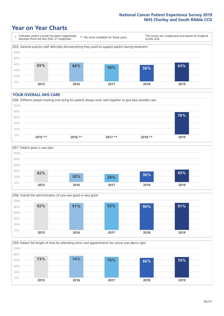### **Year on Year Charts**

\* Indicates where a score has been suppressed because there are less than 21 responses. \*\* No score available for these years. The scores are unadjusted and based on England scores only. Q55. General practice staff definitely did everything they could to support patient during treatment 0% 20% 40% 60% 80% 100% **2015 2016 2017 2018 2019 65% 64% 58% 56% 63%**

#### **YOUR OVERALL NHS CARE**







Q59. Patient felt length of time for attending clinics and appointments for cancer was about right